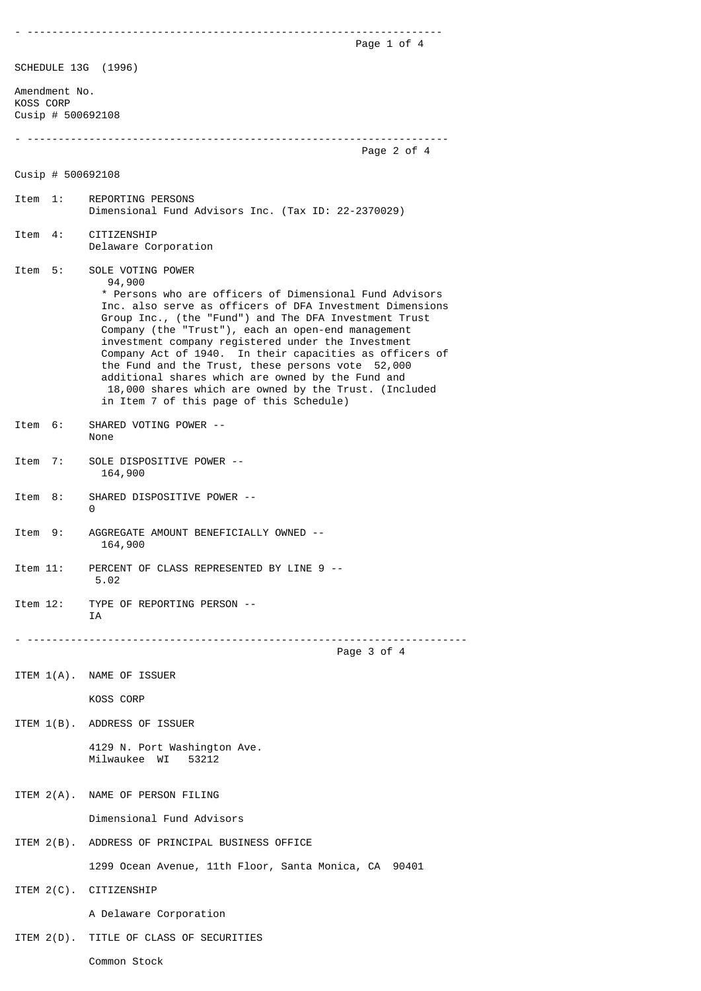- ------------------------------------------------------------------- Page 1 of 4 SCHEDULE 13G (1996) Amendment No. KOSS CORP Cusip # 500692108

- --------------------------------------------------------------------

## Cusip # 500692108

Item 1: REPORTING PERSONS Dimensional Fund Advisors Inc. (Tax ID: 22-2370029) Item 4: CITIZENSHIP Delaware Corporation Item 5: SOLE VOTING POWER 94,900 \* Persons who are officers of Dimensional Fund Advisors

 Inc. also serve as officers of DFA Investment Dimensions Group Inc., (the "Fund") and The DFA Investment Trust Company (the "Trust"), each an open-end management investment company registered under the Investment Company Act of 1940. In their capacities as officers of the Fund and the Trust, these persons vote 52,000 additional shares which are owned by the Fund and 18,000 shares which are owned by the Trust. (Included in Item 7 of this page of this Schedule)

- Item 6: SHARED VOTING POWER -- None
- Item 7: SOLE DISPOSITIVE POWER -- 164,900
- Item 8: SHARED DISPOSITIVE POWER --0
- Item 9: AGGREGATE AMOUNT BENEFICIALLY OWNED -- 164,900
- Item 11: PERCENT OF CLASS REPRESENTED BY LINE 9 -- 5.02
- Item 12: TYPE OF REPORTING PERSON -- T A

- -----------------------------------------------------------------------

Page 3 of 4

Page 2 of 4

ITEM 1(A). NAME OF ISSUER

KOSS CORP

ITEM 1(B). ADDRESS OF ISSUER

 4129 N. Port Washington Ave. Milwaukee WI 53212

ITEM 2(A). NAME OF PERSON FILING

Dimensional Fund Advisors

ITEM 2(B). ADDRESS OF PRINCIPAL BUSINESS OFFICE

1299 Ocean Avenue, 11th Floor, Santa Monica, CA 90401

ITEM 2(C). CITIZENSHIP

A Delaware Corporation

ITEM 2(D). TITLE OF CLASS OF SECURITIES

Common Stock